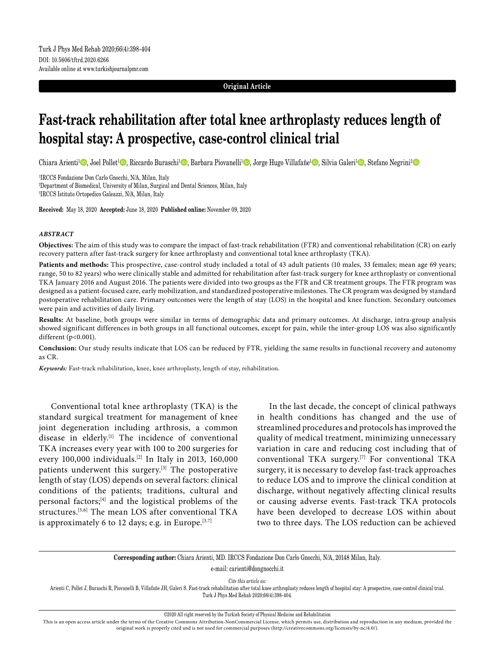#### **Original Article**

# **Fast-track rehabilitation after total knee arthroplasty reduces length of hospital stay: A prospective, case-control clinical trial**

Chiara Arienti<sup>1</sup>©, Joel Pollet<sup>1</sup>©, Riccardo Buraschi<sup>1</sup>©, Barbara Piovanelli<sup>1</sup>©, Jorge Hugo Villafañe<sup>1</sup>©, Silvia Galeri<sup>1</sup>©, Stefano Negrini<sup>2</sup>©

1 IRCCS Fondazione Don Carlo Gnocchi, N/A, Milan, Italy

2 Department of Biomedical, University of Milan, Surgical and Dental Sciences, Milan, Italy

3 IRCCS Istituto Ortopedico Galeazzi, N/A, Milan, Italy

**Received:** May 18, 2020 **Accepted:** June 18, 2020 **Published online:** November 09, 2020

#### *ABSTRACT*

**Objectives:** The aim of this study was to compare the impact of fast-track rehabilitation (FTR) and conventional rehabilitation (CR) on early recovery pattern after fast-track surgery for knee arthroplasty and conventional total knee arthroplasty (TKA).

Patients and methods: This prospective, case-control study included a total of 43 adult patients (10 males, 33 females; mean age 69 years; range, 50 to 82 years) who were clinically stable and admitted for rehabilitation after fast-track surgery for knee arthroplasty or conventional TKA January 2016 and August 2016. The patients were divided into two groups as the FTR and CR treatment groups. The FTR program was designed as a patient-focused care, early mobilization, and standardized postoperative milestones. The CR program was designed by standard postoperative rehabilitation care. Primary outcomes were the length of stay (LOS) in the hospital and knee function. Secondary outcomes were pain and activities of daily living.

**Results:** At baseline, both groups were similar in terms of demographic data and primary outcomes. At discharge, intra-group analysis showed significant differences in both groups in all functional outcomes, except for pain, while the inter-group LOS was also significantly different (p<0.001).

**Conclusion:** Our study results indicate that LOS can be reduced by FTR, yielding the same results in functional recovery and autonomy as CR.

*Keywords:* Fast-track rehabilitation, knee, knee arthroplasty, length of stay, rehabilitation.

Conventional total knee arthroplasty (TKA) is the standard surgical treatment for management of knee joint degeneration including arthrosis, a common disease in elderly.[1] The incidence of conventional TKA increases every year with 100 to 200 surgeries for every 100,000 individuals.<sup>[2]</sup> In Italy in 2013, 160,000 patients underwent this surgery.<sup>[3]</sup> The postoperative length of stay (LOS) depends on several factors: clinical conditions of the patients; traditions, cultural and personal factors;[4] and the logistical problems of the structures.[5,6] The mean LOS after conventional TKA is approximately 6 to 12 days; e.g. in Europe. $[3,7]$ 

In the last decade, the concept of clinical pathways in health conditions has changed and the use of streamlined procedures and protocols has improved the quality of medical treatment, minimizing unnecessary variation in care and reducing cost including that of conventional TKA surgery.[7] For conventional TKA surgery, it is necessary to develop fast-track approaches to reduce LOS and to improve the clinical condition at discharge, without negatively affecting clinical results or causing adverse events. Fast-track TKA protocols have been developed to decrease LOS within about two to three days. The LOS reduction can be achieved

**Corresponding author:** Chiara Arienti, MD. IRCCS Fondazione Don Carlo Gnocchi, N/A, 20148 Milan, Italy.

e-mail: carienti@dongnocchi.it

*Cite this article as:*

Arienti C, Pollet J, Buraschi R, Piovanelli B, Villafañe JH, Galeri S. Fast-track rehabilitation after total knee arthroplasty reduces length of hospital stay: A prospective, case-control clinical trial. Turk J Phys Med Rehab 2020;66(4):398-404.

©2020 All right reserved by the Turkish Society of Physical Medicine and Rehabilitation

This is an open access article under the terms of the Creative Commons Attribution-NonCommercial License, which permits use, distribution and reproduction in any medium, provided the original work is properly cited and is not used for commercial purposes (http://creativecommons.org/licenses/by-nc/4.0/).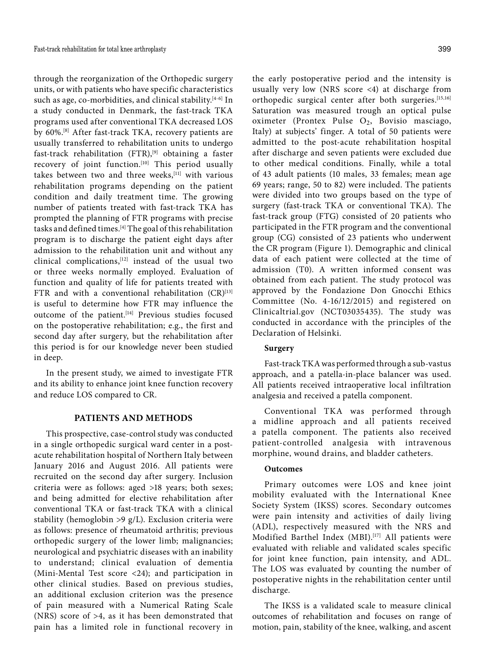through the reorganization of the Orthopedic surgery units, or with patients who have specific characteristics such as age, co-morbidities, and clinical stability.<sup>[4-6]</sup> In a study conducted in Denmark, the fast-track TKA programs used after conventional TKA decreased LOS by 60%.[8] After fast-track TKA, recovery patients are usually transferred to rehabilitation units to undergo fast-track rehabilitation (FTR),<sup>[9]</sup> obtaining a faster recovery of joint function.<sup>[10]</sup> This period usually takes between two and three weeks,  $[11]$  with various rehabilitation programs depending on the patient condition and daily treatment time. The growing number of patients treated with fast-track TKA has prompted the planning of FTR programs with precise tasks and defined times.[4] The goal of this rehabilitation program is to discharge the patient eight days after admission to the rehabilitation unit and without any clinical complications,[12] instead of the usual two or three weeks normally employed. Evaluation of function and quality of life for patients treated with FTR and with a conventional rehabilitation  $(CR)^{[13]}$ is useful to determine how FTR may influence the outcome of the patient.<sup>[14]</sup> Previous studies focused on the postoperative rehabilitation; e.g., the first and second day after surgery, but the rehabilitation after this period is for our knowledge never been studied in deep.

In the present study, we aimed to investigate FTR and its ability to enhance joint knee function recovery and reduce LOS compared to CR.

## **PATIENTS AND METHODS**

This prospective, case-control study was conducted in a single orthopedic surgical ward center in a postacute rehabilitation hospital of Northern Italy between January 2016 and August 2016. All patients were recruited on the second day after surgery. Inclusion criteria were as follows: aged >18 years; both sexes; and being admitted for elective rehabilitation after conventional TKA or fast-track TKA with a clinical stability (hemoglobin >9 g/L). Exclusion criteria were as follows: presence of rheumatoid arthritis; previous orthopedic surgery of the lower limb; malignancies; neurological and psychiatric diseases with an inability to understand; clinical evaluation of dementia (Mini-Mental Test score <24); and participation in other clinical studies. Based on previous studies, an additional exclusion criterion was the presence of pain measured with a Numerical Rating Scale (NRS) score of >4, as it has been demonstrated that pain has a limited role in functional recovery in

the early postoperative period and the intensity is usually very low (NRS score <4) at discharge from orthopedic surgical center after both surgeries.[15,16] Saturation was measured trough an optical pulse oximeter (Prontex Pulse O2, Bovisio masciago, Italy) at subjects' finger. A total of 50 patients were admitted to the post-acute rehabilitation hospital after discharge and seven patients were excluded due to other medical conditions. Finally, while a total of 43 adult patients (10 males, 33 females; mean age 69 years; range, 50 to 82) were included. The patients were divided into two groups based on the type of surgery (fast-track TKA or conventional TKA). The fast-track group (FTG) consisted of 20 patients who participated in the FTR program and the conventional group (CG) consisted of 23 patients who underwent the CR program (Figure 1). Demographic and clinical data of each patient were collected at the time of admission (T0). A written informed consent was obtained from each patient. The study protocol was approved by the Fondazione Don Gnocchi Ethics Committee (No. 4-16/12/2015) and registered on Clinicaltrial.gov (NCT03035435). The study was conducted in accordance with the principles of the Declaration of Helsinki.

## **Surgery**

Fast-track TKA was performed through a sub-vastus approach, and a patella-in-place balancer was used. All patients received intraoperative local infiltration analgesia and received a patella component.

Conventional TKA was performed through a midline approach and all patients received a patella component. The patients also received patient-controlled analgesia with intravenous morphine, wound drains, and bladder catheters.

#### **Outcomes**

Primary outcomes were LOS and knee joint mobility evaluated with the International Knee Society System (IKSS) scores. Secondary outcomes were pain intensity and activities of daily living (ADL), respectively measured with the NRS and Modified Barthel Index (MBI).<sup>[17]</sup> All patients were evaluated with reliable and validated scales specific for joint knee function, pain intensity, and ADL. The LOS was evaluated by counting the number of postoperative nights in the rehabilitation center until discharge.

The IKSS is a validated scale to measure clinical outcomes of rehabilitation and focuses on range of motion, pain, stability of the knee, walking, and ascent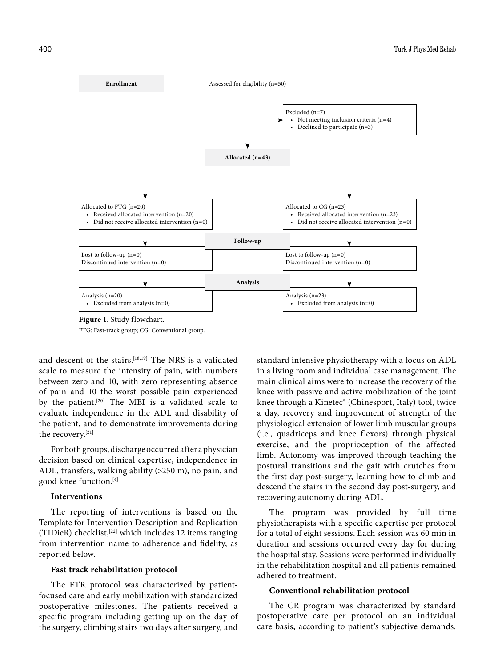

**Figure 1.** Study flowchart. FTG: Fast-track group; CG: Conventional group.

and descent of the stairs.<sup>[18,19]</sup> The NRS is a validated scale to measure the intensity of pain, with numbers between zero and 10, with zero representing absence of pain and 10 the worst possible pain experienced by the patient.<sup>[20]</sup> The MBI is a validated scale to evaluate independence in the ADL and disability of the patient, and to demonstrate improvements during the recovery.[21]

For both groups, discharge occurred after a physician decision based on clinical expertise, independence in ADL, transfers, walking ability (>250 m), no pain, and good knee function.[4]

#### **Interventions**

The reporting of interventions is based on the Template for Intervention Description and Replication (TIDieR) checklist,[22] which includes 12 items ranging from intervention name to adherence and fidelity, as reported below.

## **Fast track rehabilitation protocol**

The FTR protocol was characterized by patientfocused care and early mobilization with standardized postoperative milestones. The patients received a specific program including getting up on the day of the surgery, climbing stairs two days after surgery, and standard intensive physiotherapy with a focus on ADL in a living room and individual case management. The main clinical aims were to increase the recovery of the knee with passive and active mobilization of the joint knee through a Kinetec® (Chinesport, Italy) tool, twice a day, recovery and improvement of strength of the physiological extension of lower limb muscular groups (i.e., quadriceps and knee flexors) through physical exercise, and the proprioception of the affected limb. Autonomy was improved through teaching the postural transitions and the gait with crutches from the first day post-surgery, learning how to climb and descend the stairs in the second day post-surgery, and recovering autonomy during ADL.

The program was provided by full time physiotherapists with a specific expertise per protocol for a total of eight sessions. Each session was 60 min in duration and sessions occurred every day for during the hospital stay. Sessions were performed individually in the rehabilitation hospital and all patients remained adhered to treatment.

## **Conventional rehabilitation protocol**

The CR program was characterized by standard postoperative care per protocol on an individual care basis, according to patient's subjective demands.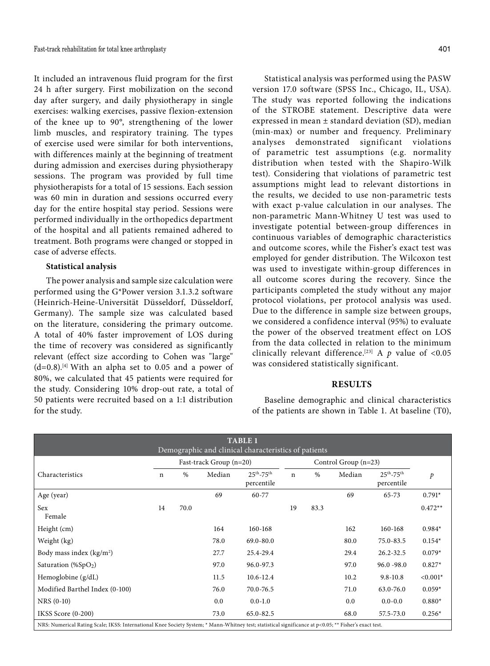It included an intravenous fluid program for the first 24 h after surgery. First mobilization on the second day after surgery, and daily physiotherapy in single exercises: walking exercises, passive flexion-extension of the knee up to 90°, strengthening of the lower limb muscles, and respiratory training. The types of exercise used were similar for both interventions, with differences mainly at the beginning of treatment during admission and exercises during physiotherapy sessions. The program was provided by full time physiotherapists for a total of 15 sessions. Each session was 60 min in duration and sessions occurred every day for the entire hospital stay period. Sessions were performed individually in the orthopedics department of the hospital and all patients remained adhered to treatment. Both programs were changed or stopped in case of adverse effects.

### **Statistical analysis**

The power analysis and sample size calculation were performed using the G\*Power version 3.1.3.2 software (Heinrich-Heine-Universität Düsseldorf, Düsseldorf, Germany). The sample size was calculated based on the literature, considering the primary outcome. A total of 40% faster improvement of LOS during the time of recovery was considered as significantly relevant (effect size according to Cohen was "large"  $(d=0.8)$ .<sup>[4]</sup> With an alpha set to 0.05 and a power of 80%, we calculated that 45 patients were required for the study. Considering 10% drop-out rate, a total of 50 patients were recruited based on a 1:1 distribution for the study.

Statistical analysis was performed using the PASW version 17.0 software (SPSS Inc., Chicago, IL, USA). The study was reported following the indications of the STROBE statement. Descriptive data were expressed in mean ± standard deviation (SD), median (min-max) or number and frequency. Preliminary analyses demonstrated significant violations of parametric test assumptions (e.g. normality distribution when tested with the Shapiro-Wilk test). Considering that violations of parametric test assumptions might lead to relevant distortions in the results, we decided to use non-parametric tests with exact p-value calculation in our analyses. The non-parametric Mann-Whitney U test was used to investigate potential between-group differences in continuous variables of demographic characteristics and outcome scores, while the Fisher's exact test was employed for gender distribution. The Wilcoxon test was used to investigate within-group differences in all outcome scores during the recovery. Since the participants completed the study without any major protocol violations, per protocol analysis was used. Due to the difference in sample size between groups, we considered a confidence interval (95%) to evaluate the power of the observed treatment effect on LOS from the data collected in relation to the minimum clinically relevant difference.<sup>[23]</sup> A  $p$  value of <0.05 was considered statistically significant.

## **RESULTS**

Baseline demographic and clinical characteristics of the patients are shown in Table 1. At baseline (T0),

|                                                                                                                                                        |             |                                                   |        | <b>TABLE 1</b>                                       |             |      |        |                                   |               |
|--------------------------------------------------------------------------------------------------------------------------------------------------------|-------------|---------------------------------------------------|--------|------------------------------------------------------|-------------|------|--------|-----------------------------------|---------------|
|                                                                                                                                                        |             |                                                   |        | Demographic and clinical characteristics of patients |             |      |        |                                   |               |
|                                                                                                                                                        |             | Control Group $(n=23)$<br>Fast-track Group (n=20) |        |                                                      |             |      |        |                                   |               |
| Characteristics                                                                                                                                        | $\mathbf n$ | $\%$                                              | Median | $25^{th} - 75^{th}$<br>percentile                    | $\mathbf n$ | $\%$ | Median | $25^{th} - 75^{th}$<br>percentile | $\mathcal{P}$ |
| Age (year)                                                                                                                                             |             |                                                   | 69     | 60-77                                                |             |      | 69     | 65-73                             | $0.791*$      |
| Sex<br>Female                                                                                                                                          | 14          | 70.0                                              |        |                                                      | 19          | 83.3 |        |                                   | $0.472**$     |
| Height (cm)                                                                                                                                            |             |                                                   | 164    | 160-168                                              |             |      | 162    | 160-168                           | $0.984*$      |
| Weight (kg)                                                                                                                                            |             |                                                   | 78.0   | $69.0 - 80.0$                                        |             |      | 80.0   | 75.0-83.5                         | $0.154*$      |
| Body mass index (kg/m <sup>2</sup> )                                                                                                                   |             |                                                   | 27.7   | 25.4-29.4                                            |             |      | 29.4   | 26.2-32.5                         | $0.079*$      |
| Saturation (% $SpO2$ )                                                                                                                                 |             |                                                   | 97.0   | 96.0-97.3                                            |             |      | 97.0   | $96.0 - 98.0$                     | $0.827*$      |
| Hemoglobine $(g/dL)$                                                                                                                                   |             |                                                   | 11.5   | $10.6 - 12.4$                                        |             |      | 10.2   | $9.8 - 10.8$                      | $< 0.001*$    |
| Modified Barthel Index (0-100)                                                                                                                         |             |                                                   | 76.0   | 70.0-76.5                                            |             |      | 71.0   | 63.0-76.0                         | $0.059*$      |
| $NRS(0-10)$                                                                                                                                            |             |                                                   | 0.0    | $0.0 - 1.0$                                          |             |      | 0.0    | $0.0 - 0.0$                       | $0.880*$      |
| IKSS Score (0-200)                                                                                                                                     |             |                                                   | 73.0   | 65.0-82.5                                            |             |      | 68.0   | 57.5-73.0                         | $0.256*$      |
| NRS: Numerical Rating Scale; IKSS: International Knee Society System: * Mann-Whitney test: statistical significance at p<0.05: ** Fisher's exact test. |             |                                                   |        |                                                      |             |      |        |                                   |               |

NRS: Numerical Rating Scale; IKSS: International Knee Society System; \* Mann-Whitney test; statistical significance at p<0.05; \*\* Fisher's exact test.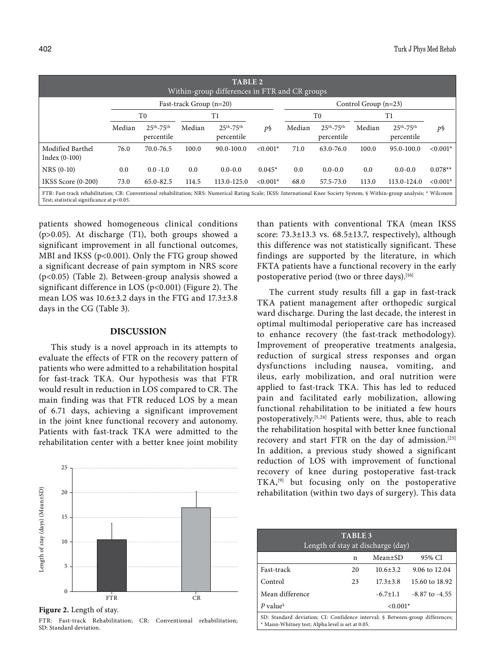| TABLE <sub>2</sub><br>Within-group differences in FTR and CR groups                                                                                                                                                     |                         |                                   |        |                                   |            |        |                                   |        |                                   |            |  |
|-------------------------------------------------------------------------------------------------------------------------------------------------------------------------------------------------------------------------|-------------------------|-----------------------------------|--------|-----------------------------------|------------|--------|-----------------------------------|--------|-----------------------------------|------------|--|
|                                                                                                                                                                                                                         | Fast-track Group (n=20) |                                   |        |                                   |            |        | Control Group $(n=23)$            |        |                                   |            |  |
|                                                                                                                                                                                                                         | T0                      |                                   | T1     |                                   |            | T0     |                                   | T1     |                                   |            |  |
|                                                                                                                                                                                                                         | Median                  | $25^{th} - 75^{th}$<br>percentile | Median | $25^{th} - 75^{th}$<br>percentile | p§         | Median | $25^{th} - 75^{th}$<br>percentile | Median | $25^{th} - 75^{th}$<br>percentile | p§         |  |
| Modified Barthel<br>Index $(0-100)$                                                                                                                                                                                     | 76.0                    | 70.0-76.5                         | 100.0  | $90.0 - 100.0$                    | $< 0.001*$ | 71.0   | $63.0 - 76.0$                     | 100.0  | $95.0 - 100.0$                    | $< 0.001*$ |  |
| $NRS(0-10)$                                                                                                                                                                                                             | 0.0                     | $0.0 - 1.0$                       | 0.0    | $0.0 - 0.0$                       | $0.045*$   | 0.0    | $0.0 - 0.0$                       | 0.0    | $0.0 - 0.0$                       | $0.078**$  |  |
| IKSS Score (0-200)                                                                                                                                                                                                      | 73.0                    | $65.0 - 82.5$                     | 114.5  | 113.0-125.0                       | $< 0.001*$ | 68.0   | 57.5-73.0                         | 113.0  | 113.0-124.0                       | $< 0.001*$ |  |
| FTR: Fast-track rehabilitation; CR: Conventional rehabilitation; NRS: Numerical Rating Scale; IKSS: International Knee Society System; § Within-group analysis; * Wilcoxon<br>Test; statistical significance at p<0.05. |                         |                                   |        |                                   |            |        |                                   |        |                                   |            |  |

patients showed homogeneous clinical conditions (p>0.05). At discharge (T1), both groups showed a significant improvement in all functional outcomes, MBI and IKSS (p<0.001). Only the FTG group showed a significant decrease of pain symptom in NRS score (p<0.05) (Table 2). Between-group analysis showed a significant difference in LOS (p<0.001) (Figure 2). The mean LOS was 10.6±3.2 days in the FTG and 17.3±3.8 days in the CG (Table 3).

#### **DISCUSSION**

This study is a novel approach in its attempts to evaluate the effects of FTR on the recovery pattern of patients who were admitted to a rehabilitation hospital for fast-track TKA. Our hypothesis was that FTR would result in reduction in LOS compared to CR. The main finding was that FTR reduced LOS by a mean of 6.71 days, achieving a significant improvement in the joint knee functional recovery and autonomy. Patients with fast-track TKA were admitted to the rehabilitation center with a better knee joint mobility



**Figure 2.** Length of stay.

FTR: Fast-track Rehabilitation; CR: Conventional rehabilitation; SD: Standard deviation.

than patients with conventional TKA (mean IKSS score: 73.3±13.3 vs. 68.5±13.7, respectively), although this difference was not statistically significant. These findings are supported by the literature, in which FKTA patients have a functional recovery in the early postoperative period (two or three days).<sup>[16]</sup>

The current study results fill a gap in fast-track TKA patient management after orthopedic surgical ward discharge. During the last decade, the interest in optimal multimodal perioperative care has increased to enhance recovery (the fast-track methodology). Improvement of preoperative treatments analgesia, reduction of surgical stress responses and organ dysfunctions including nausea, vomiting, and ileus, early mobilization, and oral nutrition were applied to fast-track TKA. This has led to reduced pain and facilitated early mobilization, allowing functional rehabilitation to be initiated a few hours postoperatively.[5,24] Patients were, thus, able to reach the rehabilitation hospital with better knee functional recovery and start FTR on the day of admission.[25] In addition, a previous study showed a significant reduction of LOS with improvement of functional recovery of knee during postoperative fast-track TKA,[9] but focusing only on the postoperative rehabilitation (within two days of surgery). This data

| <b>TABLE 3</b><br>Length of stay at discharge (day)                                                                               |            |                |                          |  |  |  |  |
|-----------------------------------------------------------------------------------------------------------------------------------|------------|----------------|--------------------------|--|--|--|--|
|                                                                                                                                   | n          | $Mean \pm SD$  | 95% CI                   |  |  |  |  |
| Fast-track                                                                                                                        | 20         | $10.6 + 3.2$   | $9.06 \text{ to } 12.04$ |  |  |  |  |
| Control                                                                                                                           | 23         | $17.3 + 3.8$   | 15.60 to 18.92           |  |  |  |  |
| Mean difference                                                                                                                   |            | $-6.7 \pm 1.1$ | $-8.87$ to $-4.55$       |  |  |  |  |
| P value <sup>§</sup>                                                                                                              | $< 0.001*$ |                |                          |  |  |  |  |
| SD: Standard deviation; CI: Confidence interval; § Between-group differences;<br>* Mann-Whitney test; Alpha level is set at 0.05. |            |                |                          |  |  |  |  |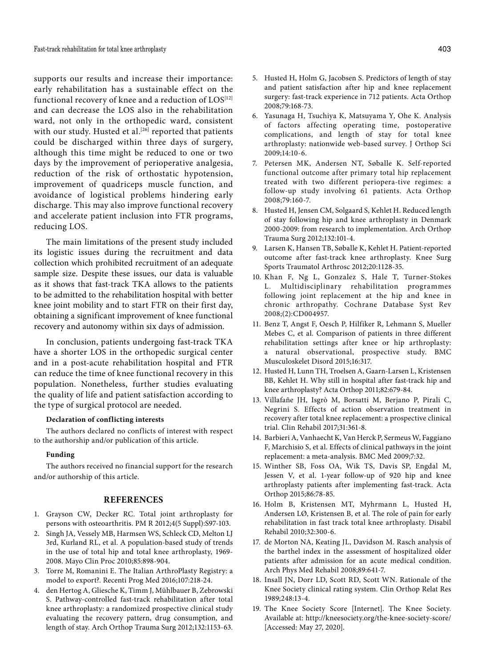supports our results and increase their importance: early rehabilitation has a sustainable effect on the functional recovery of knee and a reduction of  $LOS^{[12]}$ and can decrease the LOS also in the rehabilitation ward, not only in the orthopedic ward, consistent with our study. Husted et al.<sup>[26]</sup> reported that patients could be discharged within three days of surgery, although this time might be reduced to one or two days by the improvement of perioperative analgesia, reduction of the risk of orthostatic hypotension, improvement of quadriceps muscle function, and avoidance of logistical problems hindering early discharge. This may also improve functional recovery and accelerate patient inclusion into FTR programs, reducing LOS.

The main limitations of the present study included its logistic issues during the recruitment and data collection which prohibited recruitment of an adequate sample size. Despite these issues, our data is valuable as it shows that fast-track TKA allows to the patients to be admitted to the rehabilitation hospital with better knee joint mobility and to start FTR on their first day, obtaining a significant improvement of knee functional recovery and autonomy within six days of admission.

In conclusion, patients undergoing fast-track TKA have a shorter LOS in the orthopedic surgical center and in a post-acute rehabilitation hospital and FTR can reduce the time of knee functional recovery in this population. Nonetheless, further studies evaluating the quality of life and patient satisfaction according to the type of surgical protocol are needed.

#### **Declaration of conflicting interests**

The authors declared no conflicts of interest with respect to the authorship and/or publication of this article.

#### **Funding**

The authors received no financial support for the research and/or authorship of this article.

### **REFERENCES**

- 1. Grayson CW, Decker RC. Total joint arthroplasty for persons with osteoarthritis. PM R 2012;4(5 Suppl):S97-103.
- 2. Singh JA, Vessely MB, Harmsen WS, Schleck CD, Melton LJ 3rd, Kurland RL, et al. A population-based study of trends in the use of total hip and total knee arthroplasty, 1969- 2008. Mayo Clin Proc 2010;85:898-904.
- 3. Torre M, Romanini E. The Italian ArthroPlasty Registry: a model to export?. Recenti Prog Med 2016;107:218-24.
- 4. den Hertog A, Gliesche K, Timm J, Mühlbauer B, Zebrowski S. Pathway-controlled fast-track rehabilitation after total knee arthroplasty: a randomized prospective clinical study evaluating the recovery pattern, drug consumption, and length of stay. Arch Orthop Trauma Surg 2012;132:1153-63.
- 5. Husted H, Holm G, Jacobsen S. Predictors of length of stay and patient satisfaction after hip and knee replacement surgery: fast-track experience in 712 patients. Acta Orthop 2008;79:168-73.
- 6. Yasunaga H, Tsuchiya K, Matsuyama Y, Ohe K. Analysis of factors affecting operating time, postoperative complications, and length of stay for total knee arthroplasty: nationwide web-based survey. J Orthop Sci 2009;14:10-6.
- 7. Petersen MK, Andersen NT, Søballe K. Self-reported functional outcome after primary total hip replacement treated with two different periopera-tive regimes: a follow-up study involving 61 patients. Acta Orthop 2008;79:160-7.
- 8. Husted H, Jensen CM, Solgaard S, Kehlet H. Reduced length of stay following hip and knee arthroplasty in Denmark 2000-2009: from research to implementation. Arch Orthop Trauma Surg 2012;132:101-4.
- 9. Larsen K, Hansen TB, Søballe K, Kehlet H. Patient-reported outcome after fast-track knee arthroplasty. Knee Surg Sports Traumatol Arthrosc 2012;20:1128-35.
- 10. Khan F, Ng L, Gonzalez S, Hale T, Turner-Stokes L. Multidisciplinary rehabilitation programmes following joint replacement at the hip and knee in chronic arthropathy. Cochrane Database Syst Rev 2008;(2):CD004957.
- 11. Benz T, Angst F, Oesch P, Hilfiker R, Lehmann S, Mueller Mebes C, et al. Comparison of patients in three different rehabilitation settings after knee or hip arthroplasty: a natural observational, prospective study. BMC Musculoskelet Disord 2015;16:317.
- 12. Husted H, Lunn TH, Troelsen A, Gaarn-Larsen L, Kristensen BB, Kehlet H. Why still in hospital after fast-track hip and knee arthroplasty? Acta Orthop 2011;82:679-84.
- 13. Villafañe JH, Isgrò M, Borsatti M, Berjano P, Pirali C, Negrini S. Effects of action observation treatment in recovery after total knee replacement: a prospective clinical trial. Clin Rehabil 2017;31:361-8.
- 14. Barbieri A, Vanhaecht K, Van Herck P, Sermeus W, Faggiano F, Marchisio S, et al. Effects of clinical pathways in the joint replacement: a meta-analysis. BMC Med 2009;7:32.
- 15. Winther SB, Foss OA, Wik TS, Davis SP, Engdal M, Jessen V, et al. 1-year follow-up of 920 hip and knee arthroplasty patients after implementing fast-track. Acta Orthop 2015;86:78-85.
- 16. Holm B, Kristensen MT, Myhrmann L, Husted H, Andersen LØ, Kristensen B, et al. The role of pain for early rehabilitation in fast track total knee arthroplasty. Disabil Rehabil 2010;32:300-6.
- 17. de Morton NA, Keating JL, Davidson M. Rasch analysis of the barthel index in the assessment of hospitalized older patients after admission for an acute medical condition. Arch Phys Med Rehabil 2008;89:641-7.
- 18. Insall JN, Dorr LD, Scott RD, Scott WN. Rationale of the Knee Society clinical rating system. Clin Orthop Relat Res 1989;248:13-4.
- 19. The Knee Society Score [Internet]. The Knee Society. Available at: http://kneesociety.org/the-knee-society-score/ [Accessed: May 27, 2020].